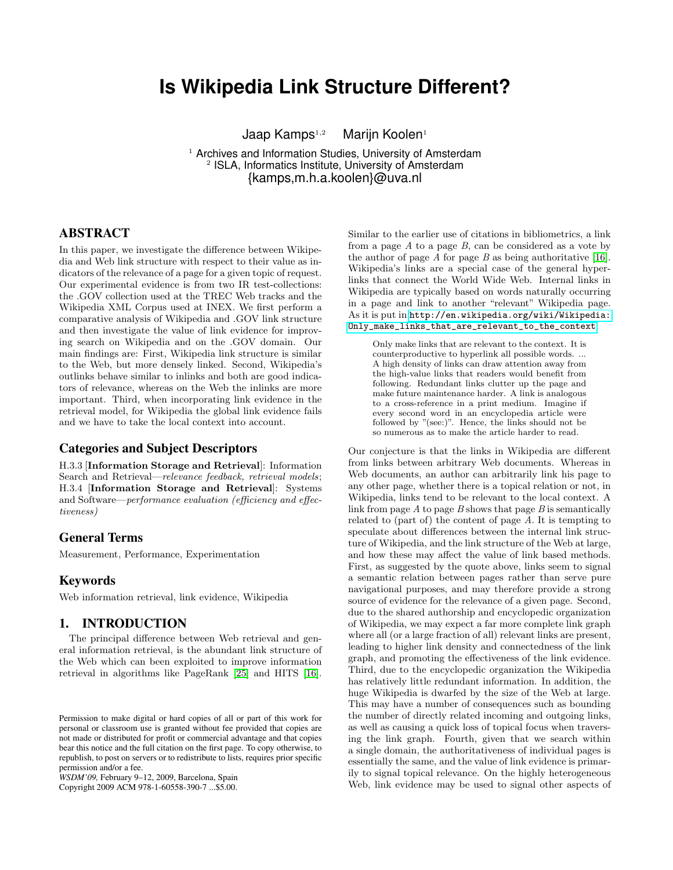# **Is Wikipedia Link Structure Different?**

Jaap Kamps<sup>1,2</sup> Marijn Koolen<sup>1</sup>

<sup>1</sup> Archives and Information Studies, University of Amsterdam <sup>2</sup> ISLA, Informatics Institute, University of Amsterdam {kamps,m.h.a.koolen}@uva.nl

## ABSTRACT

In this paper, we investigate the difference between Wikipedia and Web link structure with respect to their value as indicators of the relevance of a page for a given topic of request. Our experimental evidence is from two IR test-collections: the .GOV collection used at the TREC Web tracks and the Wikipedia XML Corpus used at INEX. We first perform a comparative analysis of Wikipedia and .GOV link structure and then investigate the value of link evidence for improving search on Wikipedia and on the .GOV domain. Our main findings are: First, Wikipedia link structure is similar to the Web, but more densely linked. Second, Wikipedia's outlinks behave similar to inlinks and both are good indicators of relevance, whereas on the Web the inlinks are more important. Third, when incorporating link evidence in the retrieval model, for Wikipedia the global link evidence fails and we have to take the local context into account.

#### Categories and Subject Descriptors

H.3.3 [Information Storage and Retrieval]: Information Search and Retrieval—relevance feedback, retrieval models; H.3.4 [Information Storage and Retrieval]: Systems and Software—performance evaluation (efficiency and effectiveness)

## General Terms

Measurement, Performance, Experimentation

#### Keywords

Web information retrieval, link evidence, Wikipedia

#### 1. INTRODUCTION

The principal difference between Web retrieval and general information retrieval, is the abundant link structure of the Web which can been exploited to improve information retrieval in algorithms like PageRank [\[25\]](#page-9-0) and HITS [\[16\]](#page-9-1).

Copyright 2009 ACM 978-1-60558-390-7 ...\$5.00.

Similar to the earlier use of citations in bibliometrics, a link from a page  $A$  to a page  $B$ , can be considered as a vote by the author of page  $A$  for page  $B$  as being authoritative [\[16\]](#page-9-1). Wikipedia's links are a special case of the general hyperlinks that connect the World Wide Web. Internal links in Wikipedia are typically based on words naturally occurring in a page and link to another "relevant" Wikipedia page. As it is put in [http://en.wikipedia.org/wiki/Wikipedia:](http://en.wikipedia.org/wiki/Wikipedia:Only_make_links_that_are_relevant_to_the_context) [Only\\_make\\_links\\_that\\_are\\_relevant\\_to\\_the\\_context](http://en.wikipedia.org/wiki/Wikipedia:Only_make_links_that_are_relevant_to_the_context):

Only make links that are relevant to the context. It is counterproductive to hyperlink all possible words. ... A high density of links can draw attention away from the high-value links that readers would benefit from following. Redundant links clutter up the page and make future maintenance harder. A link is analogous to a cross-reference in a print medium. Imagine if every second word in an encyclopedia article were followed by "(see:)". Hence, the links should not be so numerous as to make the article harder to read.

Our conjecture is that the links in Wikipedia are different from links between arbitrary Web documents. Whereas in Web documents, an author can arbitrarily link his page to any other page, whether there is a topical relation or not, in Wikipedia, links tend to be relevant to the local context. A link from page  $A$  to page  $B$  shows that page  $B$  is semantically related to (part of) the content of page A. It is tempting to speculate about differences between the internal link structure of Wikipedia, and the link structure of the Web at large, and how these may affect the value of link based methods. First, as suggested by the quote above, links seem to signal a semantic relation between pages rather than serve pure navigational purposes, and may therefore provide a strong source of evidence for the relevance of a given page. Second, due to the shared authorship and encyclopedic organization of Wikipedia, we may expect a far more complete link graph where all (or a large fraction of all) relevant links are present, leading to higher link density and connectedness of the link graph, and promoting the effectiveness of the link evidence. Third, due to the encyclopedic organization the Wikipedia has relatively little redundant information. In addition, the huge Wikipedia is dwarfed by the size of the Web at large. This may have a number of consequences such as bounding the number of directly related incoming and outgoing links, as well as causing a quick loss of topical focus when traversing the link graph. Fourth, given that we search within a single domain, the authoritativeness of individual pages is essentially the same, and the value of link evidence is primarily to signal topical relevance. On the highly heterogeneous Web, link evidence may be used to signal other aspects of

Permission to make digital or hard copies of all or part of this work for personal or classroom use is granted without fee provided that copies are not made or distributed for profit or commercial advantage and that copies bear this notice and the full citation on the first page. To copy otherwise, to republish, to post on servers or to redistribute to lists, requires prior specific permission and/or a fee.

*WSDM'09,* February 9–12, 2009, Barcelona, Spain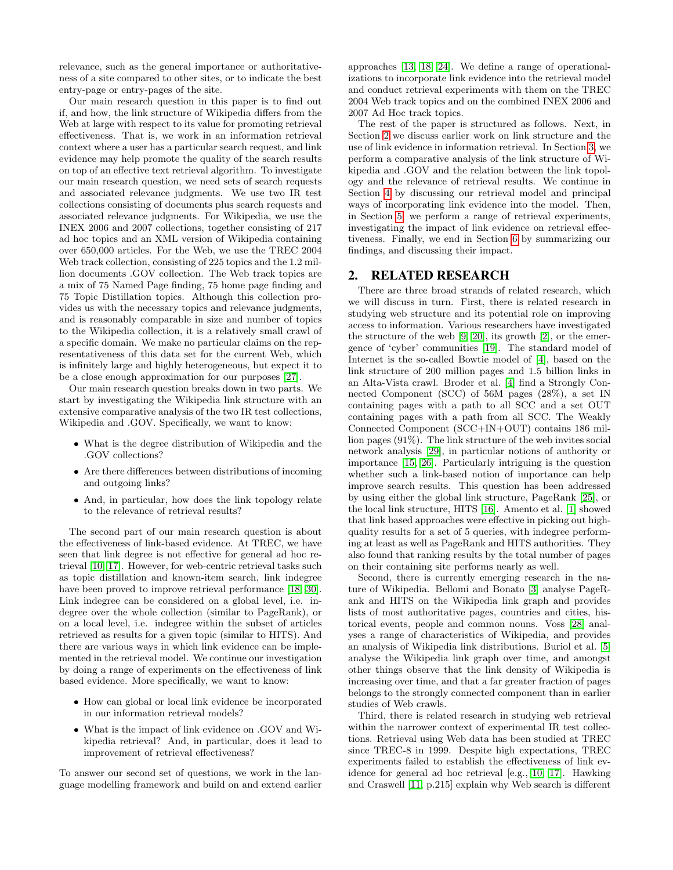relevance, such as the general importance or authoritativeness of a site compared to other sites, or to indicate the best entry-page or entry-pages of the site.

Our main research question in this paper is to find out if, and how, the link structure of Wikipedia differs from the Web at large with respect to its value for promoting retrieval effectiveness. That is, we work in an information retrieval context where a user has a particular search request, and link evidence may help promote the quality of the search results on top of an effective text retrieval algorithm. To investigate our main research question, we need sets of search requests and associated relevance judgments. We use two IR test collections consisting of documents plus search requests and associated relevance judgments. For Wikipedia, we use the INEX 2006 and 2007 collections, together consisting of 217 ad hoc topics and an XML version of Wikipedia containing over 650,000 articles. For the Web, we use the TREC 2004 Web track collection, consisting of 225 topics and the 1.2 million documents .GOV collection. The Web track topics are a mix of 75 Named Page finding, 75 home page finding and 75 Topic Distillation topics. Although this collection provides us with the necessary topics and relevance judgments, and is reasonably comparable in size and number of topics to the Wikipedia collection, it is a relatively small crawl of a specific domain. We make no particular claims on the representativeness of this data set for the current Web, which is infinitely large and highly heterogeneous, but expect it to be a close enough approximation for our purposes [\[27\]](#page-9-2).

Our main research question breaks down in two parts. We start by investigating the Wikipedia link structure with an extensive comparative analysis of the two IR test collections, Wikipedia and .GOV. Specifically, we want to know:

- What is the degree distribution of Wikipedia and the .GOV collections?
- Are there differences between distributions of incoming and outgoing links?
- And, in particular, how does the link topology relate to the relevance of retrieval results?

The second part of our main research question is about the effectiveness of link-based evidence. At TREC, we have seen that link degree is not effective for general ad hoc retrieval [\[10,](#page-9-3) [17\]](#page-9-4). However, for web-centric retrieval tasks such as topic distillation and known-item search, link indegree have been proved to improve retrieval performance [\[18,](#page-9-5) [30\]](#page-9-6). Link indegree can be considered on a global level, i.e. indegree over the whole collection (similar to PageRank), or on a local level, i.e. indegree within the subset of articles retrieved as results for a given topic (similar to HITS). And there are various ways in which link evidence can be implemented in the retrieval model. We continue our investigation by doing a range of experiments on the effectiveness of link based evidence. More specifically, we want to know:

- How can global or local link evidence be incorporated in our information retrieval models?
- What is the impact of link evidence on .GOV and Wikipedia retrieval? And, in particular, does it lead to improvement of retrieval effectiveness?

To answer our second set of questions, we work in the language modelling framework and build on and extend earlier approaches [\[13,](#page-9-7) [18,](#page-9-5) [24\]](#page-9-8). We define a range of operationalizations to incorporate link evidence into the retrieval model and conduct retrieval experiments with them on the TREC 2004 Web track topics and on the combined INEX 2006 and 2007 Ad Hoc track topics.

The rest of the paper is structured as follows. Next, in Section [2](#page-1-0) we discuss earlier work on link structure and the use of link evidence in information retrieval. In Section [3,](#page-2-0) we perform a comparative analysis of the link structure of Wikipedia and .GOV and the relation between the link topology and the relevance of retrieval results. We continue in Section [4](#page-5-0) by discussing our retrieval model and principal ways of incorporating link evidence into the model. Then, in Section [5,](#page-6-0) we perform a range of retrieval experiments, investigating the impact of link evidence on retrieval effectiveness. Finally, we end in Section [6](#page-8-0) by summarizing our findings, and discussing their impact.

## <span id="page-1-0"></span>2. RELATED RESEARCH

There are three broad strands of related research, which we will discuss in turn. First, there is related research in studying web structure and its potential role on improving access to information. Various researchers have investigated the structure of the web [\[9,](#page-9-9) [20\]](#page-9-10), its growth [\[2\]](#page-9-11), or the emergence of 'cyber' communities [\[19\]](#page-9-12). The standard model of Internet is the so-called Bowtie model of [\[4\]](#page-9-13), based on the link structure of 200 million pages and 1.5 billion links in an Alta-Vista crawl. Broder et al. [\[4\]](#page-9-13) find a Strongly Connected Component (SCC) of 56M pages (28%), a set IN containing pages with a path to all SCC and a set OUT containing pages with a path from all SCC. The Weakly Connected Component (SCC+IN+OUT) contains 186 million pages (91%). The link structure of the web invites social network analysis [\[29\]](#page-9-14), in particular notions of authority or importance [\[15,](#page-9-15) [26\]](#page-9-16). Particularly intriguing is the question whether such a link-based notion of importance can help improve search results. This question has been addressed by using either the global link structure, PageRank [\[25\]](#page-9-0), or the local link structure, HITS [\[16\]](#page-9-1). Amento et al. [\[1\]](#page-9-17) showed that link based approaches were effective in picking out highquality results for a set of 5 queries, with indegree performing at least as well as PageRank and HITS authorities. They also found that ranking results by the total number of pages on their containing site performs nearly as well.

Second, there is currently emerging research in the nature of Wikipedia. Bellomi and Bonato [\[3\]](#page-9-18) analyse PageRank and HITS on the Wikipedia link graph and provides lists of most authoritative pages, countries and cities, historical events, people and common nouns. Voss [\[28\]](#page-9-19) analyses a range of characteristics of Wikipedia, and provides an analysis of Wikipedia link distributions. Buriol et al. [\[5\]](#page-9-20) analyse the Wikipedia link graph over time, and amongst other things observe that the link density of Wikipedia is increasing over time, and that a far greater fraction of pages belongs to the strongly connected component than in earlier studies of Web crawls.

Third, there is related research in studying web retrieval within the narrower context of experimental IR test collections. Retrieval using Web data has been studied at TREC since TREC-8 in 1999. Despite high expectations, TREC experiments failed to establish the effectiveness of link evidence for general ad hoc retrieval [e.g., [10,](#page-9-3) [17\]](#page-9-4). Hawking and Craswell [\[11,](#page-9-21) p.215] explain why Web search is different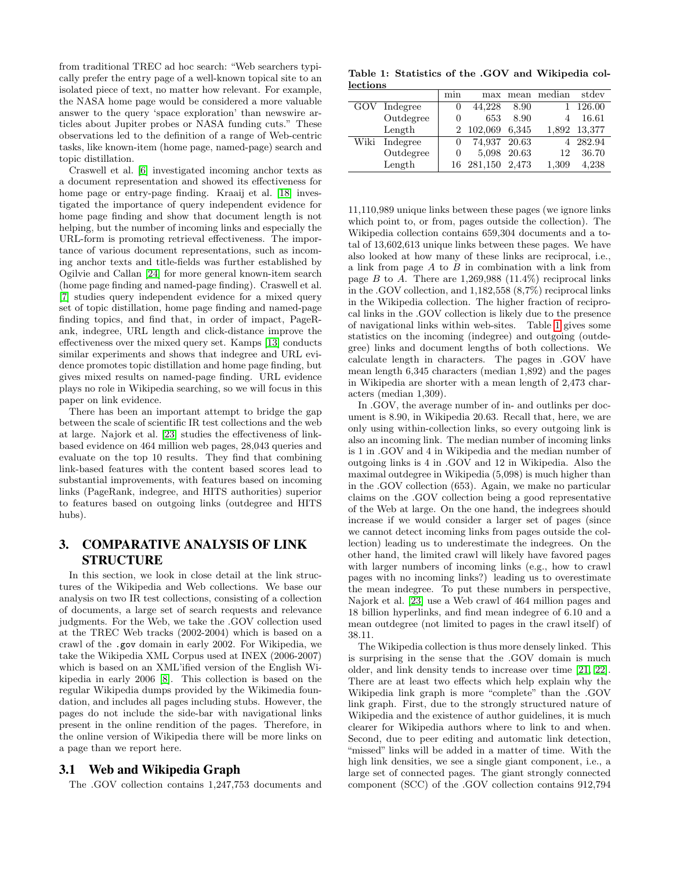from traditional TREC ad hoc search: "Web searchers typically prefer the entry page of a well-known topical site to an isolated piece of text, no matter how relevant. For example, the NASA home page would be considered a more valuable answer to the query 'space exploration' than newswire articles about Jupiter probes or NASA funding cuts." These observations led to the definition of a range of Web-centric tasks, like known-item (home page, named-page) search and topic distillation.

Craswell et al. [\[6\]](#page-9-22) investigated incoming anchor texts as a document representation and showed its effectiveness for home page or entry-page finding. Kraaij et al. [\[18\]](#page-9-5) investigated the importance of query independent evidence for home page finding and show that document length is not helping, but the number of incoming links and especially the URL-form is promoting retrieval effectiveness. The importance of various document representations, such as incoming anchor texts and title-fields was further established by Ogilvie and Callan [\[24\]](#page-9-8) for more general known-item search (home page finding and named-page finding). Craswell et al. [\[7\]](#page-9-23) studies query independent evidence for a mixed query set of topic distillation, home page finding and named-page finding topics, and find that, in order of impact, PageRank, indegree, URL length and click-distance improve the effectiveness over the mixed query set. Kamps [\[13\]](#page-9-7) conducts similar experiments and shows that indegree and URL evidence promotes topic distillation and home page finding, but gives mixed results on named-page finding. URL evidence plays no role in Wikipedia searching, so we will focus in this paper on link evidence.

There has been an important attempt to bridge the gap between the scale of scientific IR test collections and the web at large. Najork et al. [\[23\]](#page-9-24) studies the effectiveness of linkbased evidence on 464 million web pages, 28,043 queries and evaluate on the top 10 results. They find that combining link-based features with the content based scores lead to substantial improvements, with features based on incoming links (PageRank, indegree, and HITS authorities) superior to features based on outgoing links (outdegree and HITS hubs).

## <span id="page-2-0"></span>3. COMPARATIVE ANALYSIS OF LINK STRUCTURE

In this section, we look in close detail at the link structures of the Wikipedia and Web collections. We base our analysis on two IR test collections, consisting of a collection of documents, a large set of search requests and relevance judgments. For the Web, we take the .GOV collection used at the TREC Web tracks (2002-2004) which is based on a crawl of the .gov domain in early 2002. For Wikipedia, we take the Wikipedia XML Corpus used at INEX (2006-2007) which is based on an XML'ified version of the English Wikipedia in early 2006 [\[8\]](#page-9-25). This collection is based on the regular Wikipedia dumps provided by the Wikimedia foundation, and includes all pages including stubs. However, the pages do not include the side-bar with navigational links present in the online rendition of the pages. Therefore, in the online version of Wikipedia there will be more links on a page than we report here.

## 3.1 Web and Wikipedia Graph

The .GOV collection contains 1,247,753 documents and

<span id="page-2-1"></span>Table 1: Statistics of the .GOV and Wikipedia collections

|      |              | min      |                  |             | max mean median | stdev        |
|------|--------------|----------|------------------|-------------|-----------------|--------------|
|      | GOV Indegree |          | 44,228           | 8.90        |                 | 1 126.00     |
|      | Outdegree    |          | 653              | 8.90        | 4               | 16.61        |
|      | Length       |          | 2 102,069        | 6,345       |                 | 1,892 13,377 |
| Wiki | Indegree     | $\theta$ | 74,937 20.63     |             |                 | 4 282.94     |
|      | Outdegree    | $\theta$ |                  | 5,098 20.63 | 12              | 36.70        |
|      | Length       |          | 16 281,150 2,473 |             | 1,309           | 4,238        |
|      |              |          |                  |             |                 |              |

11,110,989 unique links between these pages (we ignore links which point to, or from, pages outside the collection). The Wikipedia collection contains 659,304 documents and a total of 13,602,613 unique links between these pages. We have also looked at how many of these links are reciprocal, i.e., a link from page  $A$  to  $B$  in combination with a link from page B to A. There are  $1,269,988$  (11.4%) reciprocal links in the .GOV collection, and 1,182,558 (8,7%) reciprocal links in the Wikipedia collection. The higher fraction of reciprocal links in the .GOV collection is likely due to the presence of navigational links within web-sites. Table [1](#page-2-1) gives some statistics on the incoming (indegree) and outgoing (outdegree) links and document lengths of both collections. We calculate length in characters. The pages in .GOV have mean length 6,345 characters (median 1,892) and the pages in Wikipedia are shorter with a mean length of 2,473 characters (median 1,309).

In .GOV, the average number of in- and outlinks per document is 8.90, in Wikipedia 20.63. Recall that, here, we are only using within-collection links, so every outgoing link is also an incoming link. The median number of incoming links is 1 in .GOV and 4 in Wikipedia and the median number of outgoing links is 4 in .GOV and 12 in Wikipedia. Also the maximal outdegree in Wikipedia (5,098) is much higher than in the .GOV collection (653). Again, we make no particular claims on the .GOV collection being a good representative of the Web at large. On the one hand, the indegrees should increase if we would consider a larger set of pages (since we cannot detect incoming links from pages outside the collection) leading us to underestimate the indegrees. On the other hand, the limited crawl will likely have favored pages with larger numbers of incoming links (e.g., how to crawl pages with no incoming links?) leading us to overestimate the mean indegree. To put these numbers in perspective, Najork et al. [\[23\]](#page-9-24) use a Web crawl of 464 million pages and 18 billion hyperlinks, and find mean indegree of 6.10 and a mean outdegree (not limited to pages in the crawl itself) of 38.11.

The Wikipedia collection is thus more densely linked. This is surprising in the sense that the .GOV domain is much older, and link density tends to increase over time [\[21,](#page-9-26) [22\]](#page-9-27). There are at least two effects which help explain why the Wikipedia link graph is more "complete" than the .GOV link graph. First, due to the strongly structured nature of Wikipedia and the existence of author guidelines, it is much clearer for Wikipedia authors where to link to and when. Second, due to peer editing and automatic link detection, "missed" links will be added in a matter of time. With the high link densities, we see a single giant component, i.e., a large set of connected pages. The giant strongly connected component (SCC) of the .GOV collection contains 912,794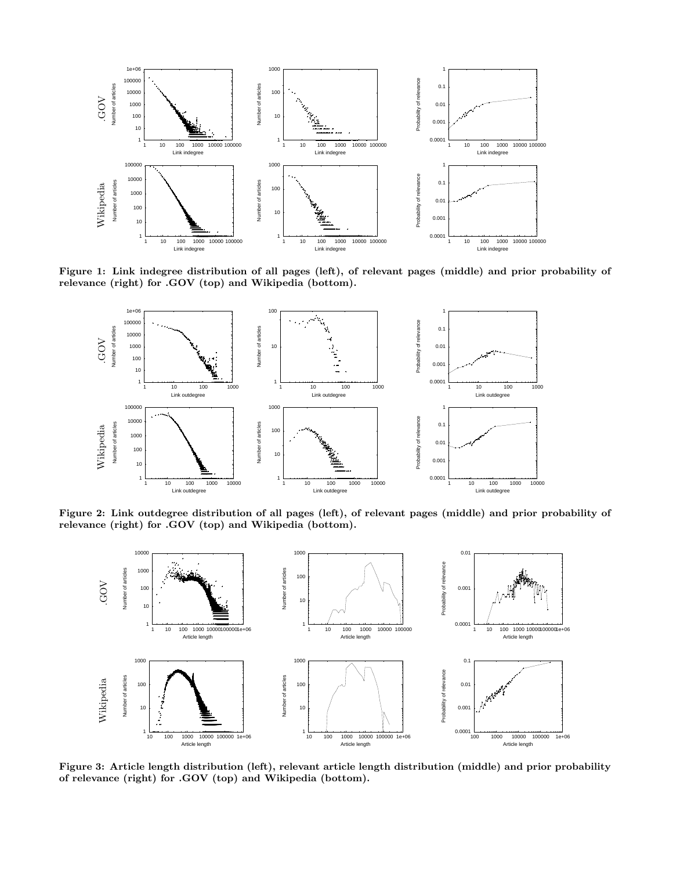

Figure 1: Link indegree distribution of all pages (left), of relevant pages (middle) and prior probability of relevance (right) for .GOV (top) and Wikipedia (bottom).

<span id="page-3-0"></span>

Figure 2: Link outdegree distribution of all pages (left), of relevant pages (middle) and prior probability of relevance (right) for .GOV (top) and Wikipedia (bottom).

<span id="page-3-1"></span>

<span id="page-3-2"></span>Figure 3: Article length distribution (left), relevant article length distribution (middle) and prior probability of relevance (right) for .GOV (top) and Wikipedia (bottom).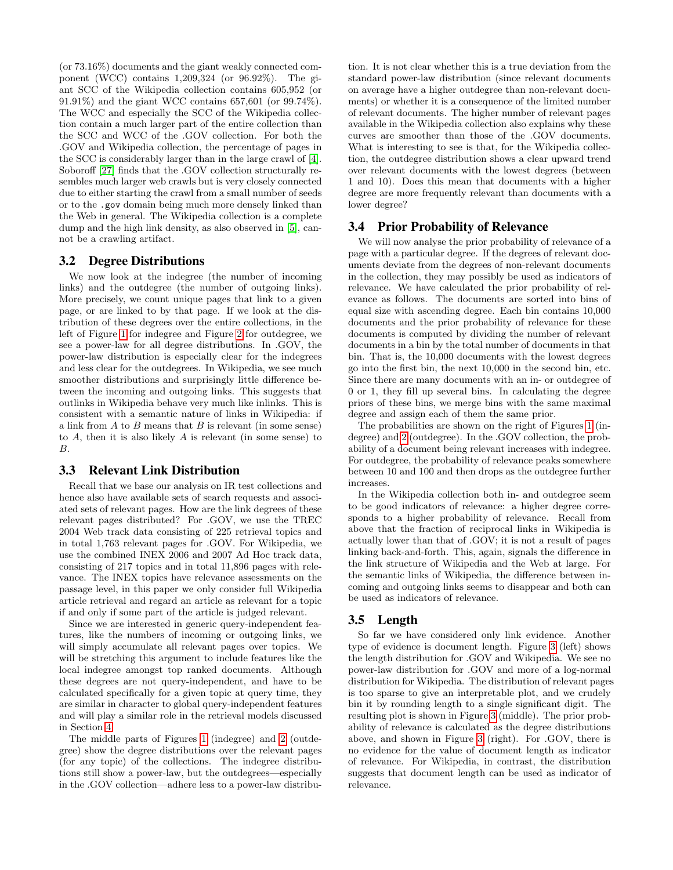(or 73.16%) documents and the giant weakly connected component (WCC) contains 1,209,324 (or 96.92%). The giant SCC of the Wikipedia collection contains 605,952 (or 91.91%) and the giant WCC contains 657,601 (or 99.74%). The WCC and especially the SCC of the Wikipedia collection contain a much larger part of the entire collection than the SCC and WCC of the .GOV collection. For both the .GOV and Wikipedia collection, the percentage of pages in the SCC is considerably larger than in the large crawl of [\[4\]](#page-9-13). Soboroff [\[27\]](#page-9-2) finds that the .GOV collection structurally resembles much larger web crawls but is very closely connected due to either starting the crawl from a small number of seeds or to the .gov domain being much more densely linked than the Web in general. The Wikipedia collection is a complete dump and the high link density, as also observed in [\[5\]](#page-9-20), cannot be a crawling artifact.

#### 3.2 Degree Distributions

We now look at the indegree (the number of incoming links) and the outdegree (the number of outgoing links). More precisely, we count unique pages that link to a given page, or are linked to by that page. If we look at the distribution of these degrees over the entire collections, in the left of Figure [1](#page-3-0) for indegree and Figure [2](#page-3-1) for outdegree, we see a power-law for all degree distributions. In .GOV, the power-law distribution is especially clear for the indegrees and less clear for the outdegrees. In Wikipedia, we see much smoother distributions and surprisingly little difference between the incoming and outgoing links. This suggests that outlinks in Wikipedia behave very much like inlinks. This is consistent with a semantic nature of links in Wikipedia: if a link from  $A$  to  $B$  means that  $B$  is relevant (in some sense) to  $A$ , then it is also likely  $A$  is relevant (in some sense) to B.

## 3.3 Relevant Link Distribution

Recall that we base our analysis on IR test collections and hence also have available sets of search requests and associated sets of relevant pages. How are the link degrees of these relevant pages distributed? For .GOV, we use the TREC 2004 Web track data consisting of 225 retrieval topics and in total 1,763 relevant pages for .GOV. For Wikipedia, we use the combined INEX 2006 and 2007 Ad Hoc track data, consisting of 217 topics and in total 11,896 pages with relevance. The INEX topics have relevance assessments on the passage level, in this paper we only consider full Wikipedia article retrieval and regard an article as relevant for a topic if and only if some part of the article is judged relevant.

Since we are interested in generic query-independent features, like the numbers of incoming or outgoing links, we will simply accumulate all relevant pages over topics. We will be stretching this argument to include features like the local indegree amongst top ranked documents. Although these degrees are not query-independent, and have to be calculated specifically for a given topic at query time, they are similar in character to global query-independent features and will play a similar role in the retrieval models discussed in Section [4.](#page-5-0)

The middle parts of Figures [1](#page-3-0) (indegree) and [2](#page-3-1) (outdegree) show the degree distributions over the relevant pages (for any topic) of the collections. The indegree distributions still show a power-law, but the outdegrees—especially in the .GOV collection—adhere less to a power-law distribution. It is not clear whether this is a true deviation from the standard power-law distribution (since relevant documents on average have a higher outdegree than non-relevant documents) or whether it is a consequence of the limited number of relevant documents. The higher number of relevant pages available in the Wikipedia collection also explains why these curves are smoother than those of the .GOV documents. What is interesting to see is that, for the Wikipedia collection, the outdegree distribution shows a clear upward trend over relevant documents with the lowest degrees (between 1 and 10). Does this mean that documents with a higher degree are more frequently relevant than documents with a lower degree?

## 3.4 Prior Probability of Relevance

We will now analyse the prior probability of relevance of a page with a particular degree. If the degrees of relevant documents deviate from the degrees of non-relevant documents in the collection, they may possibly be used as indicators of relevance. We have calculated the prior probability of relevance as follows. The documents are sorted into bins of equal size with ascending degree. Each bin contains 10,000 documents and the prior probability of relevance for these documents is computed by dividing the number of relevant documents in a bin by the total number of documents in that bin. That is, the 10,000 documents with the lowest degrees go into the first bin, the next 10,000 in the second bin, etc. Since there are many documents with an in- or outdegree of 0 or 1, they fill up several bins. In calculating the degree priors of these bins, we merge bins with the same maximal degree and assign each of them the same prior.

The probabilities are shown on the right of Figures [1](#page-3-0) (indegree) and [2](#page-3-1) (outdegree). In the .GOV collection, the probability of a document being relevant increases with indegree. For outdegree, the probability of relevance peaks somewhere between 10 and 100 and then drops as the outdegree further increases.

In the Wikipedia collection both in- and outdegree seem to be good indicators of relevance: a higher degree corresponds to a higher probability of relevance. Recall from above that the fraction of reciprocal links in Wikipedia is actually lower than that of .GOV; it is not a result of pages linking back-and-forth. This, again, signals the difference in the link structure of Wikipedia and the Web at large. For the semantic links of Wikipedia, the difference between incoming and outgoing links seems to disappear and both can be used as indicators of relevance.

#### 3.5 Length

So far we have considered only link evidence. Another type of evidence is document length. Figure [3](#page-3-2) (left) shows the length distribution for .GOV and Wikipedia. We see no power-law distribution for .GOV and more of a log-normal distribution for Wikipedia. The distribution of relevant pages is too sparse to give an interpretable plot, and we crudely bin it by rounding length to a single significant digit. The resulting plot is shown in Figure [3](#page-3-2) (middle). The prior probability of relevance is calculated as the degree distributions above, and shown in Figure [3](#page-3-2) (right). For .GOV, there is no evidence for the value of document length as indicator of relevance. For Wikipedia, in contrast, the distribution suggests that document length can be used as indicator of relevance.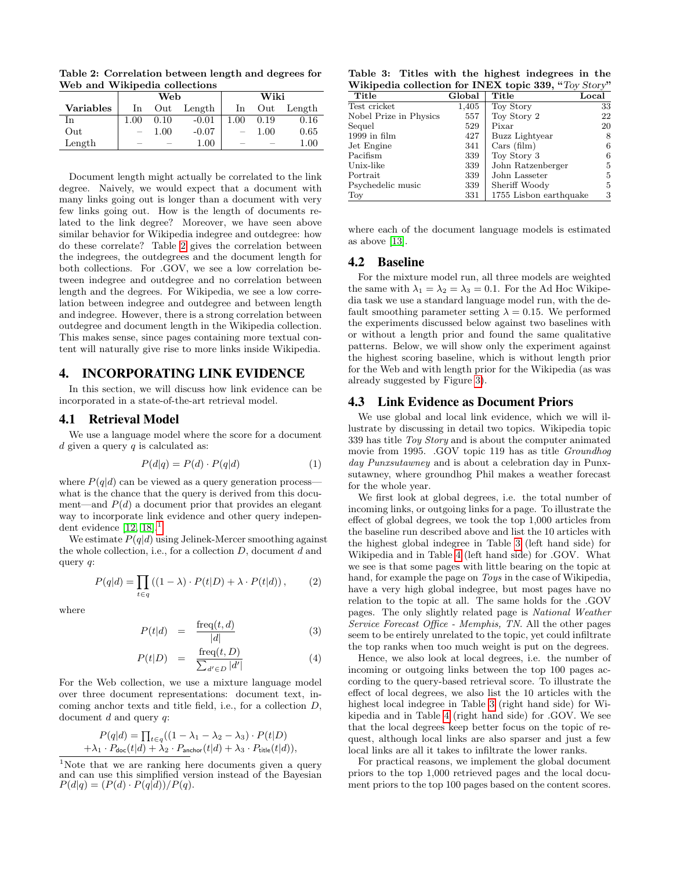<span id="page-5-1"></span>Table 2: Correlation between length and degrees for Web and Wikipedia collections

|                  |                          | Web  |          | Wiki     |          |          |  |
|------------------|--------------------------|------|----------|----------|----------|----------|--|
| <b>Variables</b> | Out<br>In                |      | Length   | In       | Out      | Length   |  |
| In               | $1.00\,$                 | 0.10 | $-0.01$  | $1.00\,$ | 0.19     | 0.16     |  |
| Out              | $\overline{\phantom{0}}$ | 1.00 | $-0.07$  |          | $1.00\,$ | 0.65     |  |
| Length           |                          |      | $1.00\,$ |          |          | $1.00\,$ |  |

Document length might actually be correlated to the link degree. Naively, we would expect that a document with many links going out is longer than a document with very few links going out. How is the length of documents related to the link degree? Moreover, we have seen above similar behavior for Wikipedia indegree and outdegree: how do these correlate? Table [2](#page-5-1) gives the correlation between the indegrees, the outdegrees and the document length for both collections. For .GOV, we see a low correlation between indegree and outdegree and no correlation between length and the degrees. For Wikipedia, we see a low correlation between indegree and outdegree and between length and indegree. However, there is a strong correlation between outdegree and document length in the Wikipedia collection. This makes sense, since pages containing more textual content will naturally give rise to more links inside Wikipedia.

#### <span id="page-5-0"></span>4. INCORPORATING LINK EVIDENCE

In this section, we will discuss how link evidence can be incorporated in a state-of-the-art retrieval model.

#### 4.1 Retrieval Model

We use a language model where the score for a document  $d$  given a query  $q$  is calculated as:

$$
P(d|q) = P(d) \cdot P(q|d)
$$
 (1)

where  $P(q|d)$  can be viewed as a query generation processwhat is the chance that the query is derived from this document—and  $P(d)$  a document prior that provides an elegant way to incorporate link evidence and other query independent evidence  $[12, 18]$  $[12, 18]$ .

We estimate  $P(q|d)$  using Jelinek-Mercer smoothing against the whole collection, i.e., for a collection  $D$ , document  $d$  and query q:

$$
P(q|d) = \prod_{t \in q} ((1 - \lambda) \cdot P(t|D) + \lambda \cdot P(t|d)), \qquad (2)
$$

where

$$
P(t|d) = \frac{\text{freq}(t, d)}{|d|} \tag{3}
$$

$$
P(t|D) = \frac{\text{freq}(t, D)}{\sum_{d' \in D} |d'|} \tag{4}
$$

For the Web collection, we use a mixture language model over three document representations: document text, incoming anchor texts and title field, i.e., for a collection D, document  $d$  and query  $q$ :

$$
P(q|d) = \prod_{t \in q} ((1 - \lambda_1 - \lambda_2 - \lambda_3) \cdot P(t|D)
$$
  
+  $\lambda_1 \cdot P_{\text{doc}}(t|d) + \lambda_2 \cdot P_{\text{anchor}}(t|d) + \lambda_3 \cdot P_{\text{title}}(t|d)),$ 

<span id="page-5-2"></span><sup>1</sup>Note that we are ranking here documents given a query and can use this simplified version instead of the Bayesian  $P(d|q) = (P(d) \cdot P(q|d))/P(q).$ 

<span id="page-5-3"></span>Table 3: Titles with the highest indegrees in the Wikipedia collection for INEX topic 339, "Toy Story"

| Title                  | Global | Title                  | Local |
|------------------------|--------|------------------------|-------|
| Test cricket           | 1,405  | Toy Story              | 33    |
| Nobel Prize in Physics | 557    | Toy Story 2            | 22    |
| Sequel                 | 529    | Pixar                  | 20    |
| $1999$ in film         | 427    | Buzz Lightyear         | 8     |
| Jet Engine             | 341    | $\text{Cars (film)}$   | 6     |
| Pacifism               | 339    | Toy Story 3            | 6     |
| Unix-like              | 339    | John Ratzenberger      | 5     |
| ${\rm Portrait}$       | 339    | John Lasseter          | 5     |
| Psychedelic music      | 339    | Sheriff Woody          | 5     |
| $_{\mathrm{Tor}}$      | 331    | 1755 Lisbon earthquake | 3     |

where each of the document language models is estimated as above [\[13\]](#page-9-7).

## 4.2 Baseline

For the mixture model run, all three models are weighted the same with  $\lambda_1 = \lambda_2 = \lambda_3 = 0.1$ . For the Ad Hoc Wikipedia task we use a standard language model run, with the default smoothing parameter setting  $\lambda = 0.15$ . We performed the experiments discussed below against two baselines with or without a length prior and found the same qualitative patterns. Below, we will show only the experiment against the highest scoring baseline, which is without length prior for the Web and with length prior for the Wikipedia (as was already suggested by Figure [3\)](#page-3-2).

#### 4.3 Link Evidence as Document Priors

We use global and local link evidence, which we will illustrate by discussing in detail two topics. Wikipedia topic 339 has title Toy Story and is about the computer animated movie from 1995. .GOV topic 119 has as title Groundhog day Punxsutawney and is about a celebration day in Punxsutawney, where groundhog Phil makes a weather forecast for the whole year.

We first look at global degrees, i.e. the total number of incoming links, or outgoing links for a page. To illustrate the effect of global degrees, we took the top 1,000 articles from the baseline run described above and list the 10 articles with the highest global indegree in Table [3](#page-5-3) (left hand side) for Wikipedia and in Table [4](#page-6-1) (left hand side) for .GOV. What we see is that some pages with little bearing on the topic at hand, for example the page on Toys in the case of Wikipedia, have a very high global indegree, but most pages have no relation to the topic at all. The same holds for the .GOV pages. The only slightly related page is National Weather Service Forecast Office - Memphis, TN. All the other pages seem to be entirely unrelated to the topic, yet could infiltrate the top ranks when too much weight is put on the degrees.

Hence, we also look at local degrees, i.e. the number of incoming or outgoing links between the top 100 pages according to the query-based retrieval score. To illustrate the effect of local degrees, we also list the 10 articles with the highest local indegree in Table [3](#page-5-3) (right hand side) for Wikipedia and in Table [4](#page-6-1) (right hand side) for .GOV. We see that the local degrees keep better focus on the topic of request, although local links are also sparser and just a few local links are all it takes to infiltrate the lower ranks.

For practical reasons, we implement the global document priors to the top 1,000 retrieved pages and the local document priors to the top 100 pages based on the content scores.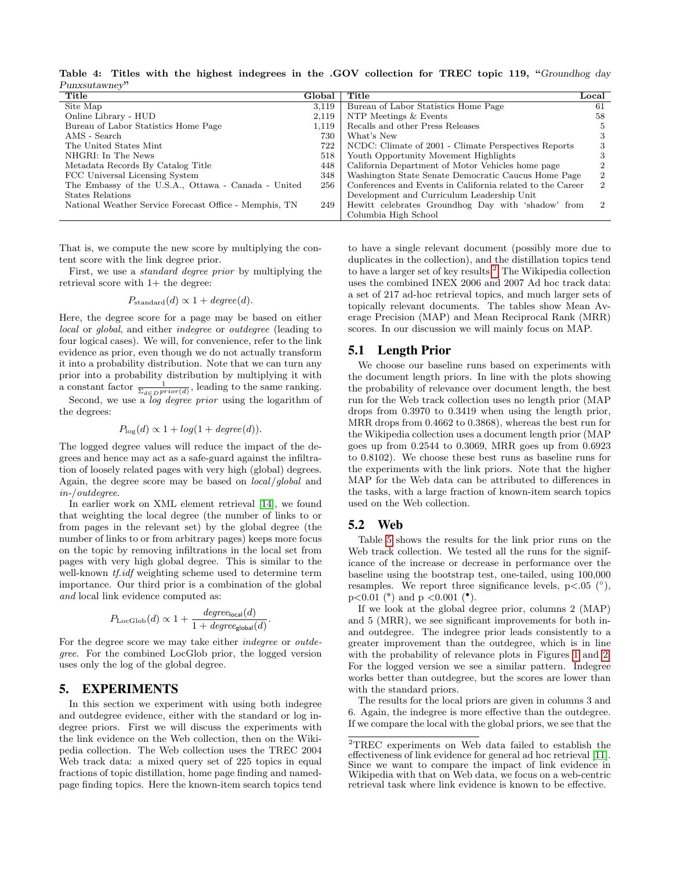<span id="page-6-1"></span>Table 4: Titles with the highest indegrees in the .GOV collection for TREC topic 119, "Groundhog day Punxsutawney"

| Title                                                  | Global | Title                                                      | Local          |
|--------------------------------------------------------|--------|------------------------------------------------------------|----------------|
| Site Map                                               | 3,119  | Bureau of Labor Statistics Home Page                       | 61             |
| Online Library - HUD                                   | 2,119  | NTP Meetings & Events                                      | 58             |
| Bureau of Labor Statistics Home Page                   | 1.119  | Recalls and other Press Releases                           | Ð              |
| AMS - Search                                           | 730    | What's New                                                 | З              |
| The United States Mint                                 | 722    | NCDC: Climate of 2001 - Climate Perspectives Reports       |                |
| NHGRI: In The News                                     | 518    | Youth Opportunity Movement Highlights                      |                |
| Metadata Records By Catalog Title                      | 448    | California Department of Motor Vehicles home page          |                |
| FCC Universal Licensing System                         | 348    | Washington State Senate Democratic Caucus Home Page        | $\overline{2}$ |
| The Embassy of the U.S.A., Ottawa - Canada - United    | 256    | Conferences and Events in California related to the Career | $\mathcal{D}$  |
| States Relations                                       |        | Development and Curriculum Leadership Unit                 |                |
| National Weather Service Forecast Office - Memphis, TN | 249    | Hewitt celebrates Groundhog Day with 'shadow' from         | $\mathcal{D}$  |
|                                                        |        | Columbia High School                                       |                |

That is, we compute the new score by multiplying the content score with the link degree prior.

First, we use a standard degree prior by multiplying the retrieval score with  $1+$  the degree:

$$
P_{\text{standard}}(d) \propto 1 + degree(d).
$$

Here, the degree score for a page may be based on either local or global, and either *indegree* or *outdegree* (leading to four logical cases). We will, for convenience, refer to the link evidence as prior, even though we do not actually transform it into a probability distribution. Note that we can turn any prior into a probability distribution by multiplying it with a constant factor  $\frac{1}{\Sigma_{d\in D} prior(d)}$ , leading to the same ranking.

Second, we use a *log degree prior* using the logarithm of the degrees:

$$
P_{\log}(d) \propto 1 + log(1 + degree(d)).
$$

The logged degree values will reduce the impact of the degrees and hence may act as a safe-guard against the infiltration of loosely related pages with very high (global) degrees. Again, the degree score may be based on local/global and in-/outdegree.

In earlier work on XML element retrieval [\[14\]](#page-9-29), we found that weighting the local degree (the number of links to or from pages in the relevant set) by the global degree (the number of links to or from arbitrary pages) keeps more focus on the topic by removing infiltrations in the local set from pages with very high global degree. This is similar to the well-known  $tf.idf$  weighting scheme used to determine term importance. Our third prior is a combination of the global and local link evidence computed as:

$$
P_{\text{LocGlob}}(d) \propto 1 + \frac{degree_{\text{local}}(d)}{1 + degree_{\text{global}}(d)}.
$$

For the degree score we may take either indegree or outdegree. For the combined LocGlob prior, the logged version uses only the log of the global degree.

#### <span id="page-6-0"></span>5. EXPERIMENTS

In this section we experiment with using both indegree and outdegree evidence, either with the standard or log indegree priors. First we will discuss the experiments with the link evidence on the Web collection, then on the Wikipedia collection. The Web collection uses the TREC 2004 Web track data: a mixed query set of 225 topics in equal fractions of topic distillation, home page finding and namedpage finding topics. Here the known-item search topics tend to have a single relevant document (possibly more due to duplicates in the collection), and the distillation topics tend to have a larger set of key results.[2](#page-6-2) The Wikipedia collection uses the combined INEX 2006 and 2007 Ad hoc track data: a set of 217 ad-hoc retrieval topics, and much larger sets of topically relevant documents. The tables show Mean Average Precision (MAP) and Mean Reciprocal Rank (MRR) scores. In our discussion we will mainly focus on MAP.

## 5.1 Length Prior

We choose our baseline runs based on experiments with the document length priors. In line with the plots showing the probability of relevance over document length, the best run for the Web track collection uses no length prior (MAP drops from 0.3970 to 0.3419 when using the length prior, MRR drops from 0.4662 to 0.3868), whereas the best run for the Wikipedia collection uses a document length prior (MAP goes up from 0.2544 to 0.3069, MRR goes up from 0.6923 to 0.8102). We choose these best runs as baseline runs for the experiments with the link priors. Note that the higher MAP for the Web data can be attributed to differences in the tasks, with a large fraction of known-item search topics used on the Web collection.

#### <span id="page-6-3"></span>5.2 Web

Table [5](#page-7-0) shows the results for the link prior runs on the Web track collection. We tested all the runs for the significance of the increase or decrease in performance over the baseline using the bootstrap test, one-tailed, using 100,000 resamples. We report three significance levels,  $p<.05$  ( $\degree$ ),  $p<0.01$  ( $\degree$ ) and  $p < 0.001$  ( $\degree$ ).

If we look at the global degree prior, columns 2 (MAP) and 5 (MRR), we see significant improvements for both inand outdegree. The indegree prior leads consistently to a greater improvement than the outdegree, which is in line with the probability of relevance plots in Figures [1](#page-3-0) and [2.](#page-3-1) For the logged version we see a similar pattern. Indegree works better than outdegree, but the scores are lower than with the standard priors.

The results for the local priors are given in columns 3 and 6. Again, the indegree is more effective than the outdegree. If we compare the local with the global priors, we see that the

<span id="page-6-2"></span><sup>2</sup>TREC experiments on Web data failed to establish the effectiveness of link evidence for general ad hoc retrieval [\[11\]](#page-9-21). Since we want to compare the impact of link evidence in Wikipedia with that on Web data, we focus on a web-centric retrieval task where link evidence is known to be effective.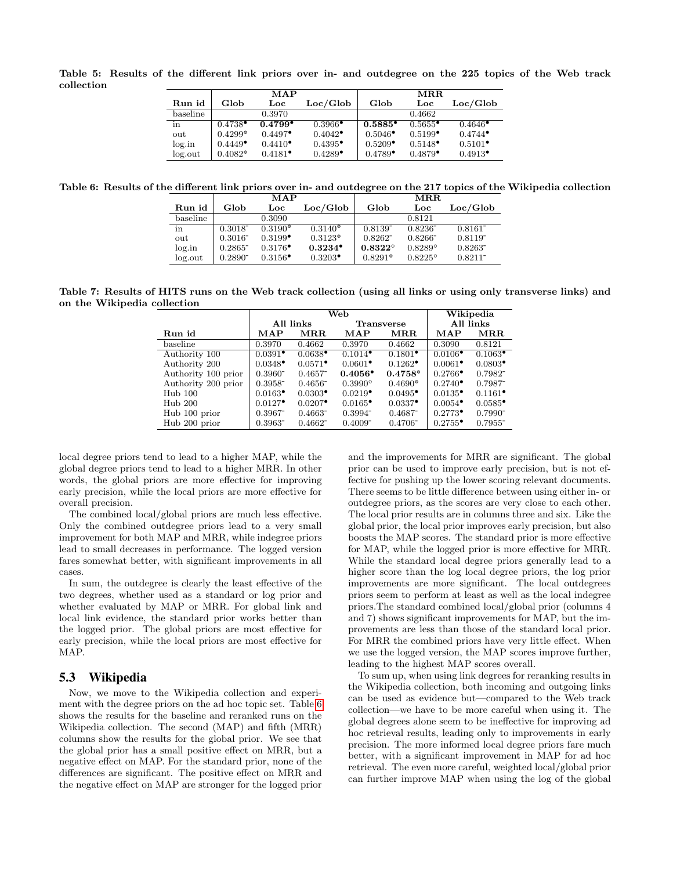<span id="page-7-0"></span>Table 5: Results of the different link priors over in- and outdegree on the 225 topics of the Web track collection

|          |                       | MAP                                      |                       |                       | MR.R.                                    |                                          |
|----------|-----------------------|------------------------------------------|-----------------------|-----------------------|------------------------------------------|------------------------------------------|
| Run id   | Glob                  | Loc                                      | Loc/Global            | Glob                  | Loc                                      | Loc/Global                               |
| baseline |                       | 0.3970                                   |                       |                       | 0.4662                                   |                                          |
| in       | $0.4738^{\bullet}$    | $0.4799^{\bullet}$                       | $0.3966^{\bullet}$    | $0.5885^{\circ}$      | $0.5655$ <sup>*</sup>                    | $0.4646^{\circ}$                         |
| out      | $0.4299$ <sup>o</sup> | $0.4497^{\bullet}$                       | $0.4042$ <sup>*</sup> | $0.5046^{\bullet}$    | $0.5199$ <sup><math>\bullet</math></sup> | $0.4744$ <sup><math>\bullet</math></sup> |
| log.in   | $0.4449^{\bullet}$    | $0.4410^{\circ}$                         | $0.4395^{\bullet}$    | $0.5209^{\bullet}$    | $0.5148^{\bullet}$                       | $0.5101$ <sup><math>\bullet</math></sup> |
| log.out  | $0.4082$ <sup>o</sup> | $0.4181$ <sup><math>\bullet</math></sup> | $0.4289^{\bullet}$    | $0.4789$ <sup>*</sup> | $0.4879$ <sup>*</sup>                    | $0.4913^{\bullet}$                       |

<span id="page-7-1"></span>Table 6: Results of the different link priors over in- and outdegree on the 217 topics of the Wikipedia collection

|          | MAP                   |                  |                       | MRR                   |                  |              |  |
|----------|-----------------------|------------------|-----------------------|-----------------------|------------------|--------------|--|
| Run id   | Glob                  | Loc              | Loc/Global            | Glob                  | Loc              | Loc/Global   |  |
| baseline |                       | 0.3090           |                       |                       | 0.8121           |              |  |
| in       | $0.3018^{-}$          | $0.3190^{\circ}$ | $0.3140^{\circ}$      | 0.8139                | $0.8236^{-}$     | $0.8161^{-}$ |  |
| out      | $0.3016^{-}$          | $0.3199^{\circ}$ | $0.3123^{\circ}$      | 0.8262                | $0.8266^{-}$     | 0.8119       |  |
| log.in   | $0.2865$ <sup>-</sup> | $0.3176^{\circ}$ | $0.3234$ <sup>*</sup> | $0.8322^{\circ}$      | $0.8289^{\circ}$ | $0.8263^{-}$ |  |
| log.out  | 0.2890                | $0.3156^{\circ}$ | $0.3203^{\bullet}$    | $0.8291$ <sup>o</sup> | $0.8225^{\circ}$ | $0.8211^{-}$ |  |

<span id="page-7-2"></span>Table 7: Results of HITS runs on the Web track collection (using all links or using only transverse links) and on the Wikipedia collection

|                     |                                          | Web                   | Wikipedia                                |                                          |                                          |                      |
|---------------------|------------------------------------------|-----------------------|------------------------------------------|------------------------------------------|------------------------------------------|----------------------|
|                     | All links                                |                       |                                          | <b>Transverse</b>                        | All links                                |                      |
| Run id              | MAP                                      | $\bf{MR}$ .           | MAP                                      | $\operatorname{MRR}$                     | MAP                                      | $\operatorname{MRR}$ |
| baseline            | 0.3970                                   | 0.4662                | 0.3970                                   | 0.4662                                   | 0.3090                                   | 0.8121               |
| Authority 100       | $0.0391$ <sup><math>\bullet</math></sup> | $0.0638$ <sup>•</sup> | $0.1014$ <sup><math>\bullet</math></sup> | $0.1801$ <sup><math>\bullet</math></sup> | $0.0106$ <sup><math>\bullet</math></sup> | $0.1063^{\bullet}$   |
| Authority 200       | $0.0348^{\bullet}$                       | $0.0571$ <sup>*</sup> | $0.0601^{\bullet}$                       | $0.1262$ <sup>*</sup>                    | $0.0061$ <sup>*</sup>                    | $0.0803^{\bullet}$   |
| Authority 100 prior | $0.3960^{-}$                             | $0.4657^{-}$          | $0.4056^{\circ}$                         | $0.4758^{\circ}$                         | $0.2766^{\bullet}$                       | 0.7982               |
| Authority 200 prior | $0.3958^{-}$                             | $0.4656^{-}$          | $0.3990^{\circ}$                         | $0.4690^{\circ}$                         | $0.2740^{\circ}$                         | $0.7987^{-}$         |
| $Hub$ 100           | $0.0163^{\bullet}$                       | $0.0303^{\bullet}$    | $0.0219^{\bullet}$                       | $0.0495^{\circ}$                         | $0.0135^{\circ}$                         | $0.1161^{\bullet}$   |
| $Hub$ 200           | $0.0127$ <sup>*</sup>                    | $0.0207$ <sup>*</sup> | $0.0165^{\circ}$                         | $0.0337^{\bullet}$                       | $0.0054$ <sup>•</sup>                    | $0.0585^{\bullet}$   |
| Hub 100 prior       | $0.3967^{-}$                             | $0.4663^{-}$          | $0.3994^{-}$                             | $0.4687^{-}$                             | $0.2773^{\bullet}$                       | 0.7990               |
| Hub 200 prior       | 0.3963                                   | $0.4662^{-}$          | $0.4009^{-}$                             | 0.4706                                   | $0.2755^{\circ}$                         | 0.7955               |

local degree priors tend to lead to a higher MAP, while the global degree priors tend to lead to a higher MRR. In other words, the global priors are more effective for improving early precision, while the local priors are more effective for overall precision.

The combined local/global priors are much less effective. Only the combined outdegree priors lead to a very small improvement for both MAP and MRR, while indegree priors lead to small decreases in performance. The logged version fares somewhat better, with significant improvements in all cases.

In sum, the outdegree is clearly the least effective of the two degrees, whether used as a standard or log prior and whether evaluated by MAP or MRR. For global link and local link evidence, the standard prior works better than the logged prior. The global priors are most effective for early precision, while the local priors are most effective for MAP.

#### 5.3 Wikipedia

Now, we move to the Wikipedia collection and experiment with the degree priors on the ad hoc topic set. Table [6](#page-7-1) shows the results for the baseline and reranked runs on the Wikipedia collection. The second (MAP) and fifth (MRR) columns show the results for the global prior. We see that the global prior has a small positive effect on MRR, but a negative effect on MAP. For the standard prior, none of the differences are significant. The positive effect on MRR and the negative effect on MAP are stronger for the logged prior

and the improvements for MRR are significant. The global prior can be used to improve early precision, but is not effective for pushing up the lower scoring relevant documents. There seems to be little difference between using either in- or outdegree priors, as the scores are very close to each other. The local prior results are in columns three and six. Like the global prior, the local prior improves early precision, but also boosts the MAP scores. The standard prior is more effective for MAP, while the logged prior is more effective for MRR. While the standard local degree priors generally lead to a higher score than the log local degree priors, the log prior improvements are more significant. The local outdegrees priors seem to perform at least as well as the local indegree priors.The standard combined local/global prior (columns 4 and 7) shows significant improvements for MAP, but the improvements are less than those of the standard local prior. For MRR the combined priors have very little effect. When we use the logged version, the MAP scores improve further, leading to the highest MAP scores overall.

To sum up, when using link degrees for reranking results in the Wikipedia collection, both incoming and outgoing links can be used as evidence but—compared to the Web track collection—we have to be more careful when using it. The global degrees alone seem to be ineffective for improving ad hoc retrieval results, leading only to improvements in early precision. The more informed local degree priors fare much better, with a significant improvement in MAP for ad hoc retrieval. The even more careful, weighted local/global prior can further improve MAP when using the log of the global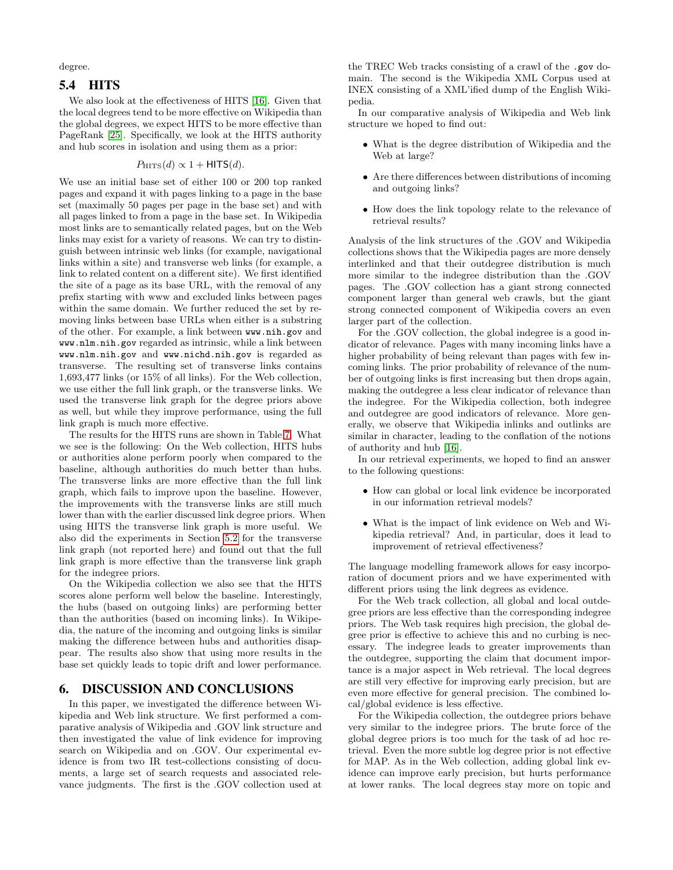degree.

## 5.4 HITS

We also look at the effectiveness of HITS [\[16\]](#page-9-1). Given that the local degrees tend to be more effective on Wikipedia than the global degrees, we expect HITS to be more effective than PageRank [\[25\]](#page-9-0). Specifically, we look at the HITS authority and hub scores in isolation and using them as a prior:

#### $P_{\text{HITS}}(d) \propto 1 + \text{HITS}(d).$

We use an initial base set of either 100 or 200 top ranked pages and expand it with pages linking to a page in the base set (maximally 50 pages per page in the base set) and with all pages linked to from a page in the base set. In Wikipedia most links are to semantically related pages, but on the Web links may exist for a variety of reasons. We can try to distinguish between intrinsic web links (for example, navigational links within a site) and transverse web links (for example, a link to related content on a different site). We first identified the site of a page as its base URL, with the removal of any prefix starting with www and excluded links between pages within the same domain. We further reduced the set by removing links between base URLs when either is a substring of the other. For example, a link between www.nih.gov and www.nlm.nih.gov regarded as intrinsic, while a link between www.nlm.nih.gov and www.nichd.nih.gov is regarded as transverse. The resulting set of transverse links contains 1,693,477 links (or 15% of all links). For the Web collection, we use either the full link graph, or the transverse links. We used the transverse link graph for the degree priors above as well, but while they improve performance, using the full link graph is much more effective.

The results for the HITS runs are shown in Table [7.](#page-7-2) What we see is the following: On the Web collection, HITS hubs or authorities alone perform poorly when compared to the baseline, although authorities do much better than hubs. The transverse links are more effective than the full link graph, which fails to improve upon the baseline. However, the improvements with the transverse links are still much lower than with the earlier discussed link degree priors. When using HITS the transverse link graph is more useful. We also did the experiments in Section [5.2](#page-6-3) for the transverse link graph (not reported here) and found out that the full link graph is more effective than the transverse link graph for the indegree priors.

On the Wikipedia collection we also see that the HITS scores alone perform well below the baseline. Interestingly, the hubs (based on outgoing links) are performing better than the authorities (based on incoming links). In Wikipedia, the nature of the incoming and outgoing links is similar making the difference between hubs and authorities disappear. The results also show that using more results in the base set quickly leads to topic drift and lower performance.

## <span id="page-8-0"></span>6. DISCUSSION AND CONCLUSIONS

In this paper, we investigated the difference between Wikipedia and Web link structure. We first performed a comparative analysis of Wikipedia and .GOV link structure and then investigated the value of link evidence for improving search on Wikipedia and on .GOV. Our experimental evidence is from two IR test-collections consisting of documents, a large set of search requests and associated relevance judgments. The first is the .GOV collection used at

the TREC Web tracks consisting of a crawl of the .gov domain. The second is the Wikipedia XML Corpus used at INEX consisting of a XML'ified dump of the English Wikipedia.

In our comparative analysis of Wikipedia and Web link structure we hoped to find out:

- What is the degree distribution of Wikipedia and the Web at large?
- Are there differences between distributions of incoming and outgoing links?
- How does the link topology relate to the relevance of retrieval results?

Analysis of the link structures of the .GOV and Wikipedia collections shows that the Wikipedia pages are more densely interlinked and that their outdegree distribution is much more similar to the indegree distribution than the .GOV pages. The .GOV collection has a giant strong connected component larger than general web crawls, but the giant strong connected component of Wikipedia covers an even larger part of the collection.

For the .GOV collection, the global indegree is a good indicator of relevance. Pages with many incoming links have a higher probability of being relevant than pages with few incoming links. The prior probability of relevance of the number of outgoing links is first increasing but then drops again, making the outdegree a less clear indicator of relevance than the indegree. For the Wikipedia collection, both indegree and outdegree are good indicators of relevance. More generally, we observe that Wikipedia inlinks and outlinks are similar in character, leading to the conflation of the notions of authority and hub [\[16\]](#page-9-1).

In our retrieval experiments, we hoped to find an answer to the following questions:

- How can global or local link evidence be incorporated in our information retrieval models?
- What is the impact of link evidence on Web and Wikipedia retrieval? And, in particular, does it lead to improvement of retrieval effectiveness?

The language modelling framework allows for easy incorporation of document priors and we have experimented with different priors using the link degrees as evidence.

For the Web track collection, all global and local outdegree priors are less effective than the corresponding indegree priors. The Web task requires high precision, the global degree prior is effective to achieve this and no curbing is necessary. The indegree leads to greater improvements than the outdegree, supporting the claim that document importance is a major aspect in Web retrieval. The local degrees are still very effective for improving early precision, but are even more effective for general precision. The combined local/global evidence is less effective.

For the Wikipedia collection, the outdegree priors behave very similar to the indegree priors. The brute force of the global degree priors is too much for the task of ad hoc retrieval. Even the more subtle log degree prior is not effective for MAP. As in the Web collection, adding global link evidence can improve early precision, but hurts performance at lower ranks. The local degrees stay more on topic and